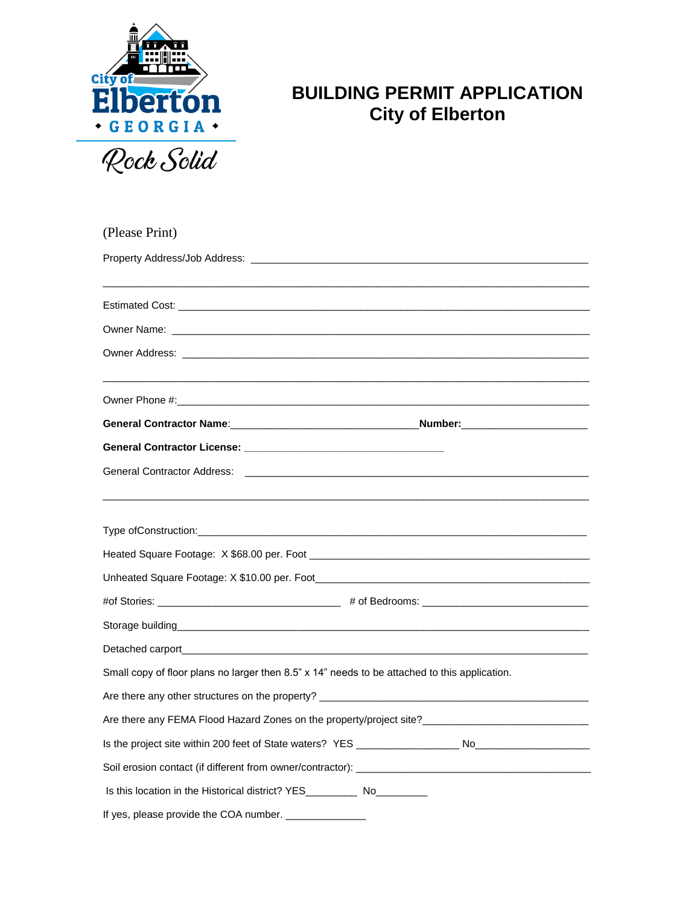

## **BUILDING PERMIT APPLICATION City of Elberton**

| (Please Print)                                                                                                                                                                                                                       |
|--------------------------------------------------------------------------------------------------------------------------------------------------------------------------------------------------------------------------------------|
|                                                                                                                                                                                                                                      |
|                                                                                                                                                                                                                                      |
|                                                                                                                                                                                                                                      |
|                                                                                                                                                                                                                                      |
|                                                                                                                                                                                                                                      |
|                                                                                                                                                                                                                                      |
|                                                                                                                                                                                                                                      |
|                                                                                                                                                                                                                                      |
|                                                                                                                                                                                                                                      |
|                                                                                                                                                                                                                                      |
|                                                                                                                                                                                                                                      |
|                                                                                                                                                                                                                                      |
| Type ofConstruction:                                                                                                                                                                                                                 |
|                                                                                                                                                                                                                                      |
|                                                                                                                                                                                                                                      |
|                                                                                                                                                                                                                                      |
| Storage building <b>Storage Storage Storage Storage Storage Storage Storage Storage Storage Storage Storage Storage Storage Storage Storage Storage Storage Storage Storage Storage Storage Storage Storage Storage Storage Stor</b> |
|                                                                                                                                                                                                                                      |
| Small copy of floor plans no larger then 8.5" x 14" needs to be attached to this application.                                                                                                                                        |
|                                                                                                                                                                                                                                      |
| Are there any FEMA Flood Hazard Zones on the property/project site?                                                                                                                                                                  |
|                                                                                                                                                                                                                                      |
|                                                                                                                                                                                                                                      |
| Is this location in the Historical district? YES_________________________________                                                                                                                                                    |
| If yes, please provide the COA number.                                                                                                                                                                                               |